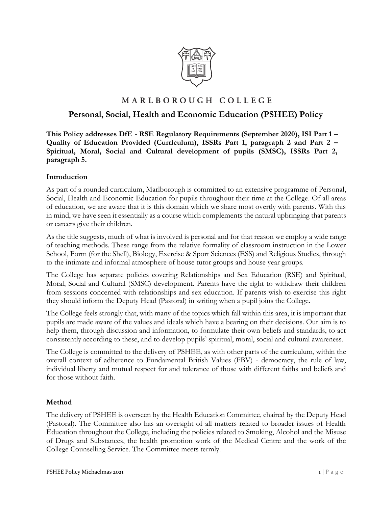

## MARLBOROUGH COLLEGE

## **Personal, Social, Health and Economic Education (PSHEE) Policy**

**This Policy addresses DfE - RSE Regulatory Requirements (September 2020), ISI Part 1 – Quality of Education Provided (Curriculum), ISSRs Part 1, paragraph 2 and Part 2 – Spiritual, Moral, Social and Cultural development of pupils (SMSC), ISSRs Part 2, paragraph 5.**

#### **Introduction**

As part of a rounded curriculum, Marlborough is committed to an extensive programme of Personal, Social, Health and Economic Education for pupils throughout their time at the College. Of all areas of education, we are aware that it is this domain which we share most overtly with parents. With this in mind, we have seen it essentially as a course which complements the natural upbringing that parents or careers give their children.

As the title suggests, much of what is involved is personal and for that reason we employ a wide range of teaching methods. These range from the relative formality of classroom instruction in the Lower School, Form (for the Shell), Biology, Exercise & Sport Sciences (ESS) and Religious Studies, through to the intimate and informal atmosphere of house tutor groups and house year groups*.* 

The College has separate policies covering Relationships and Sex Education (RSE) and Spiritual, Moral, Social and Cultural (SMSC) development. Parents have the right to withdraw their children from sessions concerned with relationships and sex education. If parents wish to exercise this right they should inform the Deputy Head (Pastoral) in writing when a pupil joins the College.

The College feels strongly that, with many of the topics which fall within this area, it is important that pupils are made aware of the values and ideals which have a bearing on their decisions. Our aim is to help them, through discussion and information, to formulate their own beliefs and standards, to act consistently according to these, and to develop pupils' spiritual, moral, social and cultural awareness.

The College is committed to the delivery of PSHEE, as with other parts of the curriculum, within the overall context of adherence to Fundamental British Values (FBV) - democracy, the rule of law, individual liberty and mutual respect for and tolerance of those with different faiths and beliefs and for those without faith.

### **Method**

The delivery of PSHEE is overseen by the Health Education Committee, chaired by the Deputy Head (Pastoral). The Committee also has an oversight of all matters related to broader issues of Health Education throughout the College, including the policies related to Smoking, Alcohol and the Misuse of Drugs and Substances, the health promotion work of the Medical Centre and the work of the College Counselling Service. The Committee meets termly.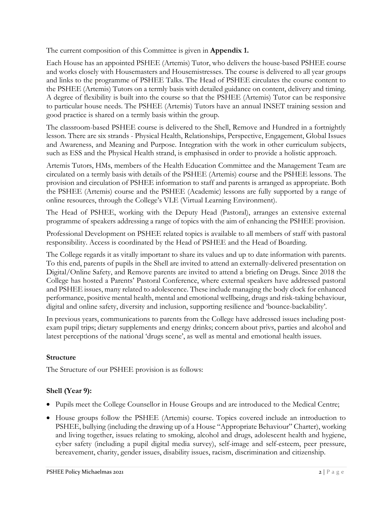The current composition of this Committee is given in **Appendix 1.** 

Each House has an appointed PSHEE (Artemis) Tutor, who delivers the house-based PSHEE course and works closely with Housemasters and Housemistresses. The course is delivered to all year groups and links to the programme of PSHEE Talks. The Head of PSHEE circulates the course content to the PSHEE (Artemis) Tutors on a termly basis with detailed guidance on content, delivery and timing. A degree of flexibility is built into the course so that the PSHEE (Artemis) Tutor can be responsive to particular house needs. The PSHEE (Artemis) Tutors have an annual INSET training session and good practice is shared on a termly basis within the group.

The classroom-based PSHEE course is delivered to the Shell, Remove and Hundred in a fortnightly lesson. There are six strands - Physical Health, Relationships, Perspective, Engagement, Global Issues and Awareness, and Meaning and Purpose. Integration with the work in other curriculum subjects, such as ESS and the Physical Health strand, is emphasised in order to provide a holistic approach.

Artemis Tutors, HMs, members of the Health Education Committee and the Management Team are circulated on a termly basis with details of the PSHEE (Artemis) course and the PSHEE lessons. The provision and circulation of PSHEE information to staff and parents is arranged as appropriate. Both the PSHEE (Artemis) course and the PSHEE (Academic) lessons are fully supported by a range of online resources, through the College's VLE (Virtual Learning Environment).

The Head of PSHEE, working with the Deputy Head (Pastoral), arranges an extensive external programme of speakers addressing a range of topics with the aim of enhancing the PSHEE provision.

Professional Development on PSHEE related topics is available to all members of staff with pastoral responsibility. Access is coordinated by the Head of PSHEE and the Head of Boarding.

The College regards it as vitally important to share its values and up to date information with parents. To this end, parents of pupils in the Shell are invited to attend an externally-delivered presentation on Digital/Online Safety, and Remove parents are invited to attend a briefing on Drugs. Since 2018 the College has hosted a Parents' Pastoral Conference, where external speakers have addressed pastoral and PSHEE issues, many related to adolescence. These include managing the body clock for enhanced performance, positive mental health, mental and emotional wellbeing, drugs and risk-taking behaviour, digital and online safety, diversity and inclusion, supporting resilience and 'bounce-backability'.

In previous years, communications to parents from the College have addressed issues including postexam pupil trips; dietary supplements and energy drinks; concern about privs, parties and alcohol and latest perceptions of the national 'drugs scene', as well as mental and emotional health issues.

### **Structure**

The Structure of our PSHEE provision is as follows:

## **Shell (Year 9):**

- Pupils meet the College Counsellor in House Groups and are introduced to the Medical Centre;
- House groups follow the PSHEE (Artemis) course. Topics covered include an introduction to PSHEE, bullying (including the drawing up of a House "Appropriate Behaviour" Charter), working and living together, issues relating to smoking, alcohol and drugs, adolescent health and hygiene, cyber safety (including a pupil digital media survey), self-image and self-esteem, peer pressure, bereavement, charity, gender issues, disability issues, racism, discrimination and citizenship.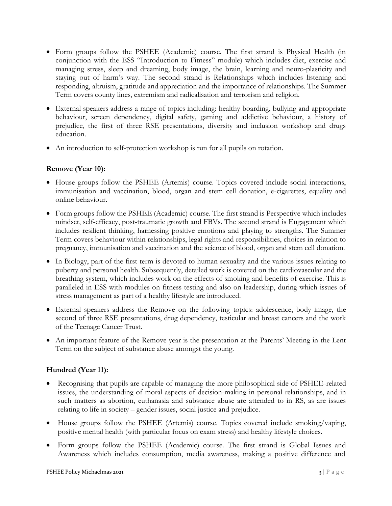- Form groups follow the PSHEE (Academic) course. The first strand is Physical Health (in conjunction with the ESS "Introduction to Fitness" module) which includes diet, exercise and managing stress, sleep and dreaming, body image, the brain, learning and neuro-plasticity and staying out of harm's way*.* The second strand is Relationships which includes listening and responding, altruism, gratitude and appreciation and the importance of relationships. The Summer Term covers county lines, extremism and radicalisation and terrorism and religion.
- External speakers address a range of topics including: healthy boarding, bullying and appropriate behaviour, screen dependency, digital safety, gaming and addictive behaviour, a history of prejudice, the first of three RSE presentations, diversity and inclusion workshop and drugs education.
- An introduction to self-protection workshop is run for all pupils on rotation.

### **Remove (Year 10):**

- House groups follow the PSHEE (Artemis) course. Topics covered include social interactions, immunisation and vaccination, blood, organ and stem cell donation, e-cigarettes, equality and online behaviour.
- Form groups follow the PSHEE (Academic) course. The first strand is Perspective which includes mindset, self-efficacy, post-traumatic growth and FBVs. The second strand is Engagement which includes resilient thinking, harnessing positive emotions and playing to strengths. The Summer Term covers behaviour within relationships, legal rights and responsibilities, choices in relation to pregnancy, immunisation and vaccination and the science of blood, organ and stem cell donation.
- In Biology, part of the first term is devoted to human sexuality and the various issues relating to puberty and personal health. Subsequently, detailed work is covered on the cardiovascular and the breathing system, which includes work on the effects of smoking and benefits of exercise. This is paralleled in ESS with modules on fitness testing and also on leadership, during which issues of stress management as part of a healthy lifestyle are introduced.
- External speakers address the Remove on the following topics: adolescence, body image, the second of three RSE presentations, drug dependency, testicular and breast cancers and the work of the Teenage Cancer Trust.
- An important feature of the Remove year is the presentation at the Parents' Meeting in the Lent Term on the subject of substance abuse amongst the young.

## **Hundred (Year 11):**

- Recognising that pupils are capable of managing the more philosophical side of PSHEE-related issues, the understanding of moral aspects of decision-making in personal relationships, and in such matters as abortion, euthanasia and substance abuse are attended to in RS, as are issues relating to life in society – gender issues, social justice and prejudice.
- House groups follow the PSHEE (Artemis) course. Topics covered include smoking/vaping, positive mental health (with particular focus on exam stress) and healthy lifestyle choices.
- Form groups follow the PSHEE (Academic) course. The first strand is Global Issues and Awareness which includes consumption, media awareness, making a positive difference and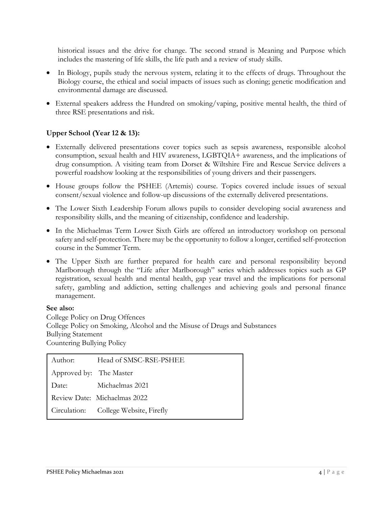historical issues and the drive for change. The second strand is Meaning and Purpose which includes the mastering of life skills, the life path and a review of study skills.

- In Biology, pupils study the nervous system, relating it to the effects of drugs. Throughout the Biology course, the ethical and social impacts of issues such as cloning; genetic modification and environmental damage are discussed.
- External speakers address the Hundred on smoking/vaping, positive mental health, the third of three RSE presentations and risk.

### **Upper School (Year 12 & 13):**

- Externally delivered presentations cover topics such as sepsis awareness, responsible alcohol consumption, sexual health and HIV awareness, LGBTQIA+ awareness, and the implications of drug consumption. A visiting team from Dorset & Wiltshire Fire and Rescue Service delivers a powerful roadshow looking at the responsibilities of young drivers and their passengers.
- House groups follow the PSHEE (Artemis) course. Topics covered include issues of sexual consent/sexual violence and follow-up discussions of the externally delivered presentations.
- The Lower Sixth Leadership Forum allows pupils to consider developing social awareness and responsibility skills, and the meaning of citizenship, confidence and leadership.
- In the Michaelmas Term Lower Sixth Girls are offered an introductory workshop on personal safety and self-protection. There may be the opportunity to follow a longer, certified self-protection course in the Summer Term.
- The Upper Sixth are further prepared for health care and personal responsibility beyond Marlborough through the "Life after Marlborough" series which addresses topics such as GP registration, sexual health and mental health, gap year travel and the implications for personal safety, gambling and addiction, setting challenges and achieving goals and personal finance management.

#### **See also:**

College Policy on Drug Offences College Policy on Smoking, Alcohol and the Misuse of Drugs and Substances Bullying Statement Countering Bullying Policy

| Author:                 | Head of SMSC-RSE-PSHEE                |
|-------------------------|---------------------------------------|
| Approved by: The Master |                                       |
| Date:                   | Michaelmas 2021                       |
|                         | Review Date: Michaelmas 2022          |
|                         | Circulation: College Website, Firefly |